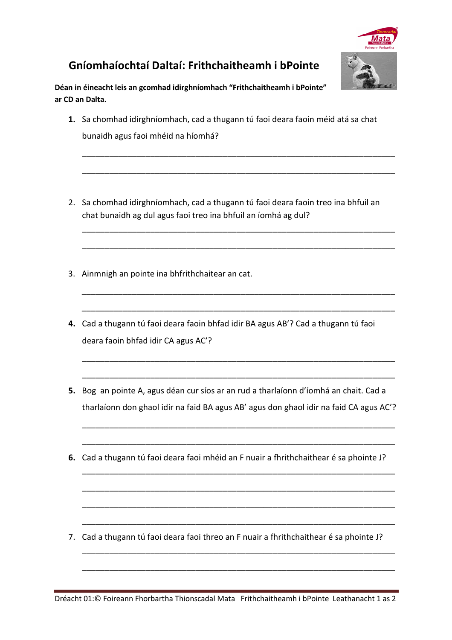

## **Gníomhaíochtaí Daltaí: Frithchaitheamh i bPointe**

**Déan in éineacht leis an gcomhad idirghníomhach "Frithchaitheamh i bPointe" ar CD an Dalta.** 

**1.** Sa chomhad idirghníomhach, cad a thugann tú faoi deara faoin méid atá sa chat bunaidh agus faoi mhéid na híomhá?

\_\_\_\_\_\_\_\_\_\_\_\_\_\_\_\_\_\_\_\_\_\_\_\_\_\_\_\_\_\_\_\_\_\_\_\_\_\_\_\_\_\_\_\_\_\_\_\_\_\_\_\_\_\_\_\_\_\_\_\_\_\_\_\_\_\_\_\_\_

\_\_\_\_\_\_\_\_\_\_\_\_\_\_\_\_\_\_\_\_\_\_\_\_\_\_\_\_\_\_\_\_\_\_\_\_\_\_\_\_\_\_\_\_\_\_\_\_\_\_\_\_\_\_\_\_\_\_\_\_\_\_\_\_\_\_\_\_\_

\_\_\_\_\_\_\_\_\_\_\_\_\_\_\_\_\_\_\_\_\_\_\_\_\_\_\_\_\_\_\_\_\_\_\_\_\_\_\_\_\_\_\_\_\_\_\_\_\_\_\_\_\_\_\_\_\_\_\_\_\_\_\_\_\_\_\_\_\_

\_\_\_\_\_\_\_\_\_\_\_\_\_\_\_\_\_\_\_\_\_\_\_\_\_\_\_\_\_\_\_\_\_\_\_\_\_\_\_\_\_\_\_\_\_\_\_\_\_\_\_\_\_\_\_\_\_\_\_\_\_\_\_\_\_\_\_\_\_

\_\_\_\_\_\_\_\_\_\_\_\_\_\_\_\_\_\_\_\_\_\_\_\_\_\_\_\_\_\_\_\_\_\_\_\_\_\_\_\_\_\_\_\_\_\_\_\_\_\_\_\_\_\_\_\_\_\_\_\_\_\_\_\_\_\_\_\_\_

\_\_\_\_\_\_\_\_\_\_\_\_\_\_\_\_\_\_\_\_\_\_\_\_\_\_\_\_\_\_\_\_\_\_\_\_\_\_\_\_\_\_\_\_\_\_\_\_\_\_\_\_\_\_\_\_\_\_\_\_\_\_\_\_\_\_\_\_\_

\_\_\_\_\_\_\_\_\_\_\_\_\_\_\_\_\_\_\_\_\_\_\_\_\_\_\_\_\_\_\_\_\_\_\_\_\_\_\_\_\_\_\_\_\_\_\_\_\_\_\_\_\_\_\_\_\_\_\_\_\_\_\_\_\_\_\_\_\_

\_\_\_\_\_\_\_\_\_\_\_\_\_\_\_\_\_\_\_\_\_\_\_\_\_\_\_\_\_\_\_\_\_\_\_\_\_\_\_\_\_\_\_\_\_\_\_\_\_\_\_\_\_\_\_\_\_\_\_\_\_\_\_\_\_\_\_\_\_

- 2. Sa chomhad idirghníomhach, cad a thugann tú faoi deara faoin treo ina bhfuil an chat bunaidh ag dul agus faoi treo ina bhfuil an íomhá ag dul?
- 3. Ainmnigh an pointe ina bhfrithchaitear an cat.
- **4.** Cad a thugann tú faoi deara faoin bhfad idir BA agus AB'? Cad a thugann tú faoi deara faoin bhfad idir CA agus AC'?
- **5.** Bog an pointe A, agus déan cur síos ar an rud a tharlaíonn d'íomhá an chait. Cad a tharlaíonn don ghaol idir na faid BA agus AB' agus don ghaol idir na faid CA agus AC'?

\_\_\_\_\_\_\_\_\_\_\_\_\_\_\_\_\_\_\_\_\_\_\_\_\_\_\_\_\_\_\_\_\_\_\_\_\_\_\_\_\_\_\_\_\_\_\_\_\_\_\_\_\_\_\_\_\_\_\_\_\_\_\_\_\_\_\_\_\_

\_\_\_\_\_\_\_\_\_\_\_\_\_\_\_\_\_\_\_\_\_\_\_\_\_\_\_\_\_\_\_\_\_\_\_\_\_\_\_\_\_\_\_\_\_\_\_\_\_\_\_\_\_\_\_\_\_\_\_\_\_\_\_\_\_\_\_\_\_

\_\_\_\_\_\_\_\_\_\_\_\_\_\_\_\_\_\_\_\_\_\_\_\_\_\_\_\_\_\_\_\_\_\_\_\_\_\_\_\_\_\_\_\_\_\_\_\_\_\_\_\_\_\_\_\_\_\_\_\_\_\_\_\_\_\_\_\_\_

\_\_\_\_\_\_\_\_\_\_\_\_\_\_\_\_\_\_\_\_\_\_\_\_\_\_\_\_\_\_\_\_\_\_\_\_\_\_\_\_\_\_\_\_\_\_\_\_\_\_\_\_\_\_\_\_\_\_\_\_\_\_\_\_\_\_\_\_\_

\_\_\_\_\_\_\_\_\_\_\_\_\_\_\_\_\_\_\_\_\_\_\_\_\_\_\_\_\_\_\_\_\_\_\_\_\_\_\_\_\_\_\_\_\_\_\_\_\_\_\_\_\_\_\_\_\_\_\_\_\_\_\_\_\_\_\_\_\_

\_\_\_\_\_\_\_\_\_\_\_\_\_\_\_\_\_\_\_\_\_\_\_\_\_\_\_\_\_\_\_\_\_\_\_\_\_\_\_\_\_\_\_\_\_\_\_\_\_\_\_\_\_\_\_\_\_\_\_\_\_\_\_\_\_\_\_\_\_

\_\_\_\_\_\_\_\_\_\_\_\_\_\_\_\_\_\_\_\_\_\_\_\_\_\_\_\_\_\_\_\_\_\_\_\_\_\_\_\_\_\_\_\_\_\_\_\_\_\_\_\_\_\_\_\_\_\_\_\_\_\_\_\_\_\_\_\_\_

\_\_\_\_\_\_\_\_\_\_\_\_\_\_\_\_\_\_\_\_\_\_\_\_\_\_\_\_\_\_\_\_\_\_\_\_\_\_\_\_\_\_\_\_\_\_\_\_\_\_\_\_\_\_\_\_\_\_\_\_\_\_\_\_\_\_\_\_\_

**6.** Cad a thugann tú faoi deara faoi mhéid an F nuair a fhrithchaithear é sa phointe J?

7. Cad a thugann tú faoi deara faoi threo an F nuair a fhrithchaithear é sa phointe J?